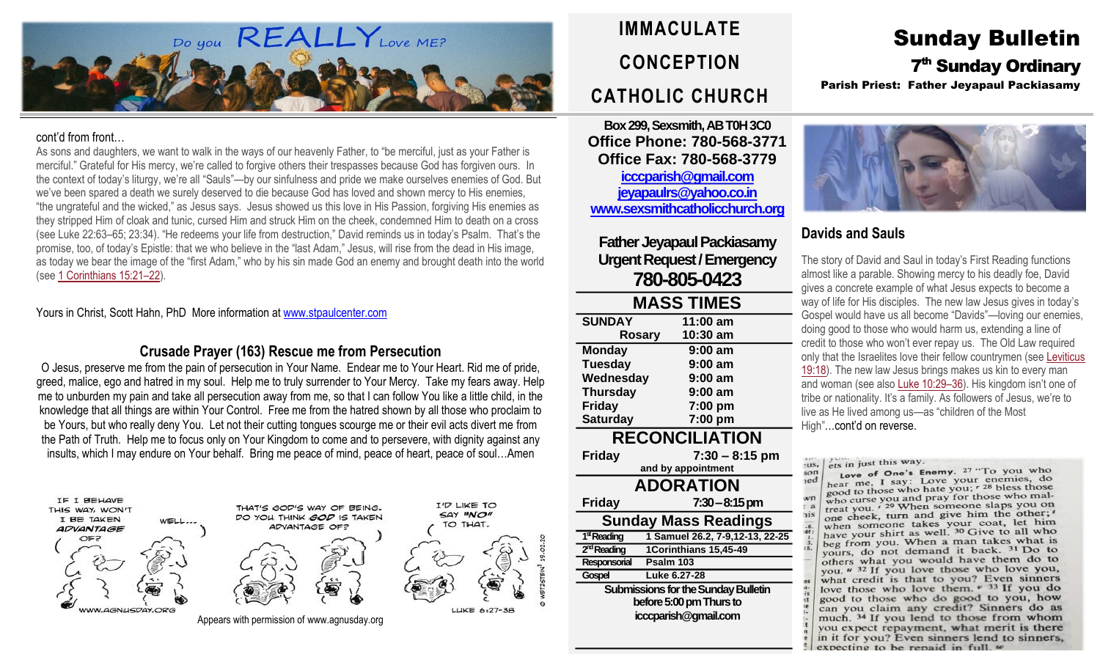

#### cont'd from front…

As sons and daughters, we want to walk in the ways of our heavenly Father, to "be merciful, just as your Father is merciful." Grateful for His mercy, we're called to forgive others their trespasses because God has forgiven ours. In the context of today's liturgy, we're all "Sauls"—by our sinfulness and pride we make ourselves enemies of God. But we've been spared a death we surely deserved to die because God has loved and shown mercy to His enemies, "the ungrateful and the wicked," as Jesus says. Jesus showed us this love in His Passion, forgiving His enemies as they stripped Him of cloak and tunic, cursed Him and struck Him on the cheek, condemned Him to death on a cross (see Luke 22:63–65; 23:34). "He redeems your life from destruction," David reminds us in today's Psalm. That's the promise, too, of today's Epistle: that we who believe in the "last Adam," Jesus, will rise from the dead in His image, as today we bear the image of the "first Adam," who by his sin made God an enemy and brought death into the world (see 1 [Corinthians](https://biblia.com/bible/rsvce/1%20Cor%2015.21%E2%80%9322) 15:21–22).

Yours in Christ, Scott Hahn, PhD More information a[t www.stpaulcenter.com](http://www.stpaulcenter.com/)

## **Crusade Prayer (163) Rescue me from Persecution**

O Jesus, preserve me from the pain of persecution in Your Name. Endear me to Your Heart. Rid me of pride, greed, malice, ego and hatred in my soul. Help me to truly surrender to Your Mercy. Take my fears away. Help me to unburden my pain and take all persecution away from me, so that I can follow You like a little child, in the knowledge that all things are within Your Control. Free me from the hatred shown by all those who proclaim to be Yours, but who really deny You. Let not their cutting tongues scourge me or their evil acts divert me from the Path of Truth. Help me to focus only on Your Kingdom to come and to persevere, with dignity against any insults, which I may endure on Your behalf. Bring me peace of mind, peace of heart, peace of soul…Amen





I'D LIKE TO

SAY "NO"

TO THAT.

LUKE 6:27-38

Appears with permission of www.agnusday.org

**IMMACULATE CONCEPTION CATHOLIC CHURCH**

**Box 299, Sexsmith, AB T0H 3C0 Office Phone: 780-568-3771 Office Fax: 780-568-3779 [icccparish@gmail.com](mailto:icccparish@gmail.com) [jeyapaulrs@yahoo.co.in](mailto:jeyapaulrs@yahoo.co.in) [www.sexsmithcatholicchurch.org](http://www.sexsmithcatholicchurch.org/)**

**Father Jeyapaul Packiasamy Urgent Request/Emergency 780-805-0423**

| <b>MASS TIMES</b>                          |                                 |  |  |  |
|--------------------------------------------|---------------------------------|--|--|--|
| <b>SUNDAY</b>                              | 11:00 am                        |  |  |  |
| <b>Rosary</b>                              | 10:30 am                        |  |  |  |
| <b>Monday</b>                              | 9:00 am                         |  |  |  |
| <b>Tuesday</b>                             | 9:00 am                         |  |  |  |
| Wednesday                                  | 9:00 am                         |  |  |  |
| <b>Thursday</b>                            | 9:00 am                         |  |  |  |
| <b>Friday</b>                              | 7:00 pm                         |  |  |  |
| <b>Saturday</b>                            | 7:00 pm                         |  |  |  |
| <b>RECONCILIATION</b>                      |                                 |  |  |  |
| Friday                                     | $7:30 - 8:15$ pm                |  |  |  |
|                                            | and by appointment              |  |  |  |
| <b>ADORATION</b>                           |                                 |  |  |  |
| <b>Friday</b>                              | $7:30-8:15 \, \text{pm}$        |  |  |  |
| <b>Sunday Mass Readings</b>                |                                 |  |  |  |
| 1 <sup>st</sup> Reading                    | 1 Samuel 26.2, 7-9,12-13, 22-25 |  |  |  |
| 2 <sup>nd</sup> Reading                    | 1Corinthians 15,45-49           |  |  |  |
| Responsorial                               | Psalm 103                       |  |  |  |
| Gospel                                     | Luke 6.27-28                    |  |  |  |
| <b>Submissions for the Sunday Bulletin</b> |                                 |  |  |  |
| before 5:00 pm Thurs to                    |                                 |  |  |  |
| icccparish@gmail.com                       |                                 |  |  |  |

Sunday Bulletin 7<sup>th</sup> Sunday Ordinary Parish Priest: Father Jeyapaul Packiasamy



# **Davids and Sauls**

The story of David and Saul in today's First Reading functions almost like a parable. Showing mercy to his deadly foe, David gives a concrete example of what Jesus expects to become a way of life for His disciples. The new law Jesus gives in today's Gospel would have us all become "Davids"—loving our enemies, doing good to those who would harm us, extending a line of credit to those who won't ever repay us. The Old Law required only that the Israelites love their fellow countrymen (see [Leviticus](https://biblia.com/bible/rsvce/Lev%2019.18) [19:18\)](https://biblia.com/bible/rsvce/Lev%2019.18). The new law Jesus brings makes us kin to every man and woman (see also Luke [10:29](https://biblia.com/bible/rsvce/Luke%2010.29%E2%80%9336)–36). His kingdom isn't one of tribe or nationality. It's a family. As followers of Jesus, we're to live as He lived among us—as "children of the Most High"…cont'd on reverse.

ets in just this way.  $2115.$ 

Love of One's Enemy.  $27 \text{ "To you who}$  $s$ on hear me, I say: Love your enemies, do  $red$ hear me, I say: Love your enemies, ao<br>good to those who hate you;  $\tau^{28}$  bless those good to those who have you, who curse you and pray for those who mal- $\mathbf{w}$ n who curse you and pray for those who had one cheek, turn and give him the other;' when someone takes your coat, let him have your shirt as well. <sup>30</sup> Give to all who beg from you. When a man takes what is yours, do not demand it back. <sup>31</sup> Do to others what you would have them do to you. " 32 If you love those who love you, what credit is that to you? Even sinners love those who love them. v 33 If you do good to those who do good to you, how can you claim any credit? Sinners do as much. 34 If you lend to those from whom you expect repayment, what merit is there in it for you? Even sinners lend to sinners, expecting to be repaid in full  $w$